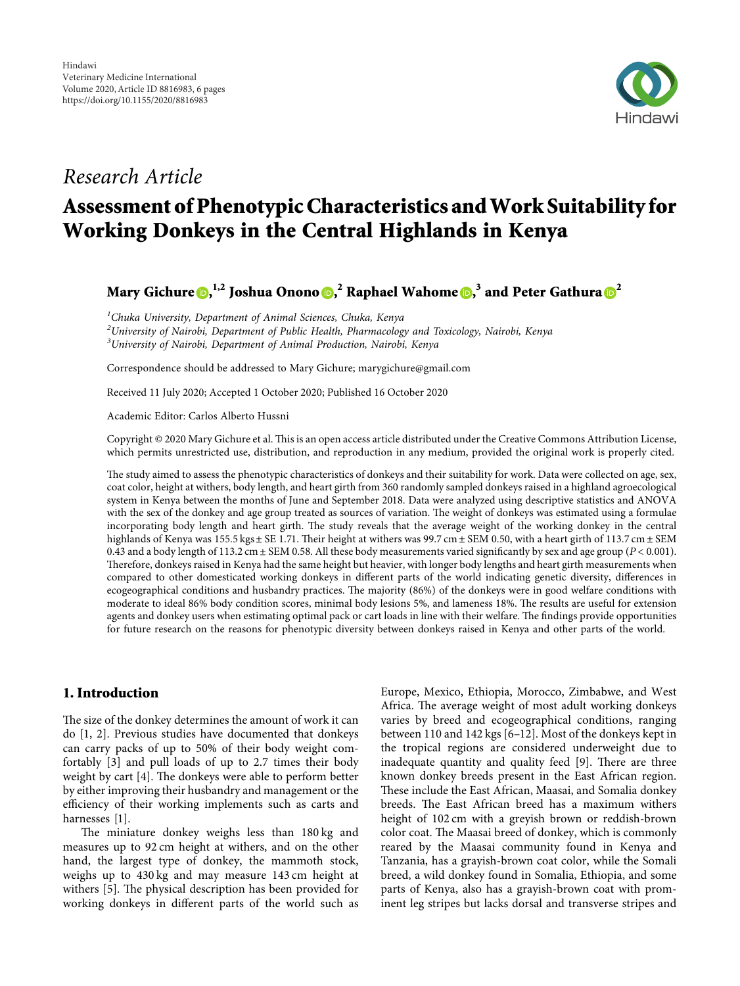

# *Research Article*

# **Assessment of Phenotypic Characteristics andWork Suitability for Working Donkeys in the Central Highlands in Kenya**

**Mary Gichure [,](https://orcid.org/0000-0002-8390-8094) 1,2 Joshua Onono [,](https://orcid.org/0000-0003-4245-1232) <sup>2</sup> Raphael Wahome , <sup>3</sup> and Peter Gathura <sup>2</sup>**

*1 Chuka University, Department of Animal Sciences, Chuka, Kenya*

*2 University of Nairobi, Department of Public Health, Pharmacology and Toxicology, Nairobi, Kenya 3 University of Nairobi, Department of Animal Production, Nairobi, Kenya*

Correspondence should be addressed to Mary Gichure; [marygichure@gmail.com](mailto:marygichure@gmail.com)

Received 11 July 2020; Accepted 1 October 2020; Published 16 October 2020

Academic Editor: Carlos Alberto Hussni

Copyright © 2020 Mary Gichure et al. This is an open access article distributed under the [Creative Commons Attribution License](https://creativecommons.org/licenses/by/4.0/), which permits unrestricted use, distribution, and reproduction in any medium, provided the original work is properly cited.

The study aimed to assess the phenotypic characteristics of donkeys and their suitability for work. Data were collected on age, sex, coat color, height at withers, body length, and heart girth from 360 randomly sampled donkeys raised in a highland agroecological system in Kenya between the months of June and September 2018. Data were analyzed using descriptive statistics and ANOVA with the sex of the donkey and age group treated as sources of variation. The weight of donkeys was estimated using a formulae incorporating body length and heart girth. The study reveals that the average weight of the working donkey in the central highlands of Kenya was 155.5 kgs ± SE 1.71. Their height at withers was 99.7 cm ± SEM 0.50, with a heart girth of 113.7 cm ± SEM 0.43 and a body length of 113.2 cm ± SEM 0.58. All these body measurements varied significantly by sex and age group (*P* < 0*.*001). Therefore, donkeys raised in Kenya had the same height but heavier, with longer body lengths and heart girth measurements when compared to other domesticated working donkeys in different parts of the world indicating genetic diversity, differences in ecogeographical conditions and husbandry practices. The majority (86%) of the donkeys were in good welfare conditions with moderate to ideal 86% body condition scores, minimal body lesions 5%, and lameness 18%. The results are useful for extension agents and donkey users when estimating optimal pack or cart loads in line with their welfare. The findings provide opportunities for future research on the reasons for phenotypic diversity between donkeys raised in Kenya and other parts of the world.

# **1. Introduction**

The size of the donkey determines the amount of work it can do [\[1, 2](#page-4-0)]. Previous studies have documented that donkeys can carry packs of up to 50% of their body weight comfortably [[3\]](#page-4-0) and pull loads of up to 2.7 times their body weight by cart  $[4]$ . The donkeys were able to perform better by either improving their husbandry and management or the efficiency of their working implements such as carts and harnesses [\[1](#page-4-0)].

The miniature donkey weighs less than 180 kg and measures up to 92 cm height at withers, and on the other hand, the largest type of donkey, the mammoth stock, weighs up to 430 kg and may measure 143 cm height at withers [[5\]](#page-4-0). The physical description has been provided for working donkeys in different parts of the world such as

Europe, Mexico, Ethiopia, Morocco, Zimbabwe, and West Africa. The average weight of most adult working donkeys varies by breed and ecogeographical conditions, ranging between 110 and 142 kgs [\[6–12](#page-4-0)]. Most of the donkeys kept in the tropical regions are considered underweight due to inadequate quantity and quality feed [\[9](#page-4-0)]. There are three known donkey breeds present in the East African region. These include the East African, Maasai, and Somalia donkey breeds. The East African breed has a maximum withers height of 102 cm with a greyish brown or reddish-brown color coat. The Maasai breed of donkey, which is commonly reared by the Maasai community found in Kenya and Tanzania, has a grayish-brown coat color, while the Somali breed, a wild donkey found in Somalia, Ethiopia, and some parts of Kenya, also has a grayish-brown coat with prominent leg stripes but lacks dorsal and transverse stripes and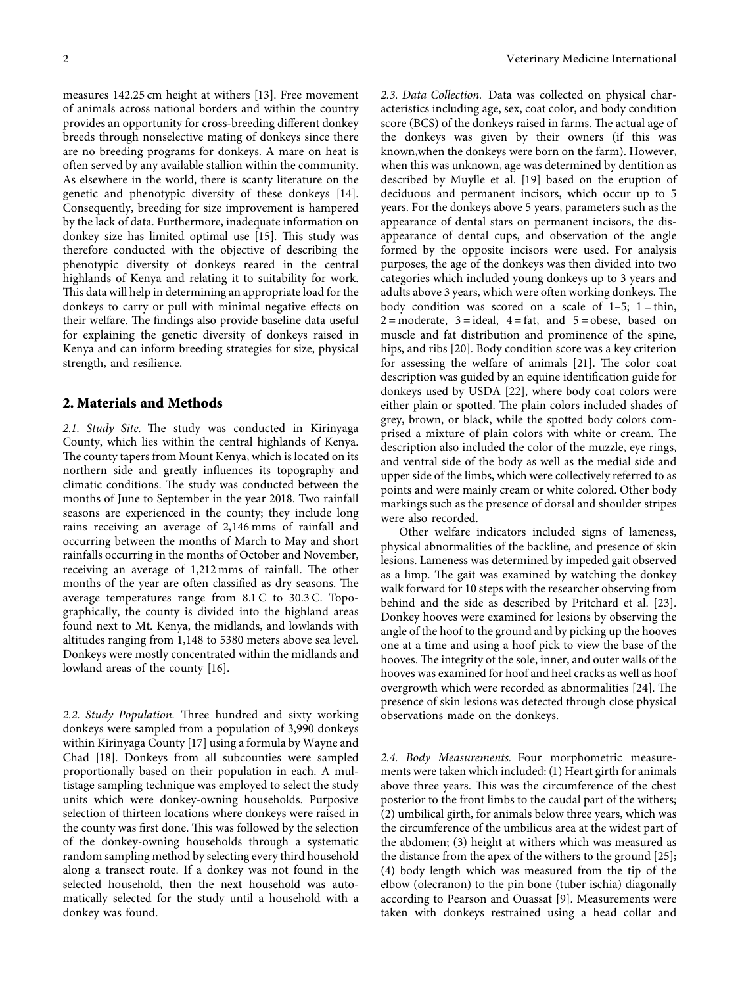measures 142.25 cm height at withers [[13\]](#page-4-0). Free movement of animals across national borders and within the country provides an opportunity for cross-breeding different donkey breeds through nonselective mating of donkeys since there are no breeding programs for donkeys. A mare on heat is often served by any available stallion within the community. As elsewhere in the world, there is scanty literature on the genetic and phenotypic diversity of these donkeys [\[14](#page-4-0)]. Consequently, breeding for size improvement is hampered by the lack of data. Furthermore, inadequate information on donkey size has limited optimal use [\[15](#page-5-0)]. This study was therefore conducted with the objective of describing the phenotypic diversity of donkeys reared in the central highlands of Kenya and relating it to suitability for work. This data will help in determining an appropriate load for the donkeys to carry or pull with minimal negative effects on their welfare. The findings also provide baseline data useful for explaining the genetic diversity of donkeys raised in Kenya and can inform breeding strategies for size, physical strength, and resilience.

#### **2. Materials and Methods**

2.1. Study Site. The study was conducted in Kirinyaga County, which lies within the central highlands of Kenya. The county tapers from Mount Kenya, which is located on its northern side and greatly influences its topography and climatic conditions. The study was conducted between the months of June to September in the year 2018. Two rainfall seasons are experienced in the county; they include long rains receiving an average of 2,146 mms of rainfall and occurring between the months of March to May and short rainfalls occurring in the months of October and November, receiving an average of 1,212 mms of rainfall. The other months of the year are often classified as dry seasons. The average temperatures range from 8.1 C to 30.3 C. Topographically, the county is divided into the highland areas found next to Mt. Kenya, the midlands, and lowlands with altitudes ranging from 1,148 to 5380 meters above sea level. Donkeys were mostly concentrated within the midlands and lowland areas of the county [[16\]](#page-5-0).

2.2. Study Population. Three hundred and sixty working donkeys were sampled from a population of 3,990 donkeys within Kirinyaga County [[17\]](#page-5-0) using a formula by Wayne and Chad [\[18](#page-5-0)]. Donkeys from all subcounties were sampled proportionally based on their population in each. A multistage sampling technique was employed to select the study units which were donkey-owning households. Purposive selection of thirteen locations where donkeys were raised in the county was first done. This was followed by the selection of the donkey-owning households through a systematic random sampling method by selecting every third household along a transect route. If a donkey was not found in the selected household, then the next household was automatically selected for the study until a household with a donkey was found.

*2.3. Data Collection.* Data was collected on physical characteristics including age, sex, coat color, and body condition score (BCS) of the donkeys raised in farms. The actual age of the donkeys was given by their owners (if this was known,when the donkeys were born on the farm). However, when this was unknown, age was determined by dentition as described by Muylle et al. [[19\]](#page-5-0) based on the eruption of deciduous and permanent incisors, which occur up to 5 years. For the donkeys above 5 years, parameters such as the appearance of dental stars on permanent incisors, the disappearance of dental cups, and observation of the angle formed by the opposite incisors were used. For analysis purposes, the age of the donkeys was then divided into two categories which included young donkeys up to 3 years and adults above 3 years, which were often working donkeys. The body condition was scored on a scale of  $1-5$ ;  $1 = \text{thin}$ ,  $2 =$  moderate,  $3 =$  ideal,  $4 =$  fat, and  $5 =$  obese, based on muscle and fat distribution and prominence of the spine, hips, and ribs [[20](#page-5-0)]. Body condition score was a key criterion for assessing the welfare of animals  $[21]$  $[21]$ . The color coat description was guided by an equine identification guide for donkeys used by USDA [\[22\]](#page-5-0), where body coat colors were either plain or spotted. The plain colors included shades of grey, brown, or black, while the spotted body colors comprised a mixture of plain colors with white or cream. The description also included the color of the muzzle, eye rings, and ventral side of the body as well as the medial side and upper side of the limbs, which were collectively referred to as points and were mainly cream or white colored. Other body markings such as the presence of dorsal and shoulder stripes were also recorded.

Other welfare indicators included signs of lameness, physical abnormalities of the backline, and presence of skin lesions. Lameness was determined by impeded gait observed as a limp. The gait was examined by watching the donkey walk forward for 10 steps with the researcher observing from behind and the side as described by Pritchard et al. [[23](#page-5-0)]. Donkey hooves were examined for lesions by observing the angle of the hoof to the ground and by picking up the hooves one at a time and using a hoof pick to view the base of the hooves. The integrity of the sole, inner, and outer walls of the hooves was examined for hoof and heel cracks as well as hoof overgrowth which were recorded as abnormalities [\[24\]](#page-5-0). The presence of skin lesions was detected through close physical observations made on the donkeys.

*2.4. Body Measurements.* Four morphometric measurements were taken which included: (1) Heart girth for animals above three years. This was the circumference of the chest posterior to the front limbs to the caudal part of the withers; (2) umbilical girth, for animals below three years, which was the circumference of the umbilicus area at the widest part of the abdomen; (3) height at withers which was measured as the distance from the apex of the withers to the ground [[25](#page-5-0)]; (4) body length which was measured from the tip of the elbow (olecranon) to the pin bone (tuber ischia) diagonally according to Pearson and Ouassat [[9](#page-4-0)]. Measurements were taken with donkeys restrained using a head collar and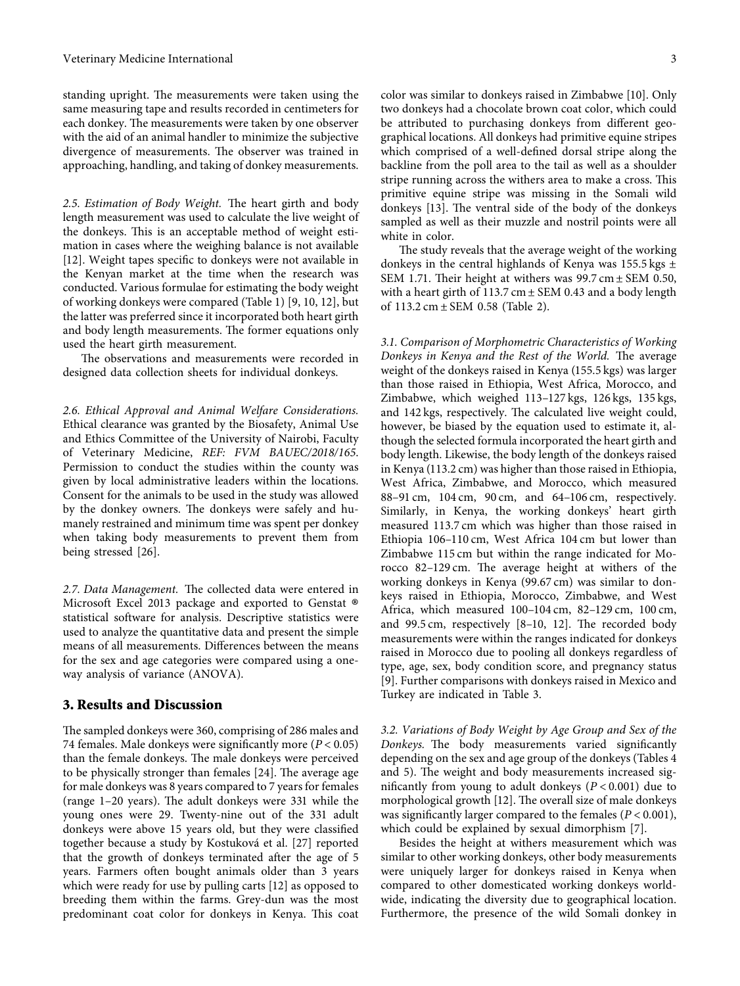standing upright. The measurements were taken using the same measuring tape and results recorded in centimeters for each donkey. The measurements were taken by one observer with the aid of an animal handler to minimize the subjective divergence of measurements. The observer was trained in approaching, handling, and taking of donkey measurements.

2.5. Estimation of Body Weight. The heart girth and body length measurement was used to calculate the live weight of the donkeys. This is an acceptable method of weight estimation in cases where the weighing balance is not available [\[12](#page-4-0)]. Weight tapes specific to donkeys were not available in the Kenyan market at the time when the research was conducted. Various formulae for estimating the body weight of working donkeys were compared (Table [1\)](#page-3-0) [[9, 10, 12\]](#page-4-0), but the latter was preferred since it incorporated both heart girth and body length measurements. The former equations only used the heart girth measurement.

The observations and measurements were recorded in designed data collection sheets for individual donkeys.

*2.6. Ethical Approval and Animal Welfare Considerations.* Ethical clearance was granted by the Biosafety, Animal Use and Ethics Committee of the University of Nairobi, Faculty of Veterinary Medicine, *REF: FVM BAUEC/2018/165*. Permission to conduct the studies within the county was given by local administrative leaders within the locations. Consent for the animals to be used in the study was allowed by the donkey owners. The donkeys were safely and humanely restrained and minimum time was spent per donkey when taking body measurements to prevent them from being stressed [[26](#page-5-0)].

2.7. Data Management. The collected data were entered in Microsoft Excel 2013 package and exported to Genstat ® statistical software for analysis. Descriptive statistics were used to analyze the quantitative data and present the simple means of all measurements. Differences between the means for the sex and age categories were compared using a oneway analysis of variance (ANOVA).

#### **3. Results and Discussion**

The sampled donkeys were 360, comprising of 286 males and 74 females. Male donkeys were significantly more (*P* < 0*.*05) than the female donkeys. The male donkeys were perceived to be physically stronger than females [\[24\]](#page-5-0). The average age for male donkeys was 8 years compared to 7 years for females (range  $1-20$  years). The adult donkeys were 331 while the young ones were 29. Twenty-nine out of the 331 adult donkeys were above 15 years old, but they were classified together because a study by Kostuková et al. [\[27\]](#page-5-0) reported that the growth of donkeys terminated after the age of 5 years. Farmers often bought animals older than 3 years which were ready for use by pulling carts [\[12](#page-4-0)] as opposed to breeding them within the farms. Grey-dun was the most predominant coat color for donkeys in Kenya. This coat

color was similar to donkeys raised in Zimbabwe [[10\]](#page-4-0). Only two donkeys had a chocolate brown coat color, which could be attributed to purchasing donkeys from different geographical locations. All donkeys had primitive equine stripes which comprised of a well-defined dorsal stripe along the backline from the poll area to the tail as well as a shoulder stripe running across the withers area to make a cross. This primitive equine stripe was missing in the Somali wild donkeys [\[13](#page-4-0)]. The ventral side of the body of the donkeys sampled as well as their muzzle and nostril points were all white in color.

The study reveals that the average weight of the working donkeys in the central highlands of Kenya was 155.5 kgs  $\pm$ SEM 1.71. Their height at withers was  $99.7 \text{ cm} \pm \text{SEM}$  0.50, with a heart girth of 113.7 cm  $\pm$  SEM 0.43 and a body length of 113.2 cm ± SEM 0.58 (Table [2](#page-3-0)).

*3.1. Comparison of Morphometric Characteristics of Working Donkeys in Kenya and the Rest of the World. The average* weight of the donkeys raised in Kenya (155.5 kgs) was larger than those raised in Ethiopia, West Africa, Morocco, and Zimbabwe, which weighed 113–127 kgs, 126 kgs, 135 kgs, and 142 kgs, respectively. The calculated live weight could, however, be biased by the equation used to estimate it, although the selected formula incorporated the heart girth and body length. Likewise, the body length of the donkeys raised in Kenya (113.2 cm) was higher than those raised in Ethiopia, West Africa, Zimbabwe, and Morocco, which measured 88–91 cm, 104 cm, 90 cm, and 64–106 cm, respectively. Similarly, in Kenya, the working donkeys' heart girth measured 113.7 cm which was higher than those raised in Ethiopia 106–110 cm, West Africa 104 cm but lower than Zimbabwe 115 cm but within the range indicated for Morocco  $82-129$  cm. The average height at withers of the working donkeys in Kenya (99.67 cm) was similar to donkeys raised in Ethiopia, Morocco, Zimbabwe, and West Africa, which measured 100–104 cm, 82–129 cm, 100 cm, and 99.5 cm, respectively  $[8-10, 12]$  $[8-10, 12]$  $[8-10, 12]$ . The recorded body measurements were within the ranges indicated for donkeys raised in Morocco due to pooling all donkeys regardless of type, age, sex, body condition score, and pregnancy status [\[9](#page-4-0)]. Further comparisons with donkeys raised in Mexico and Turkey are indicated in Table [3](#page-3-0).

*3.2. Variations of Body Weight by Age Group and Sex of the Donkeys.* The body measurements varied significantly depending on the sex and age group of the donkeys (Tables [4](#page-3-0) and [5](#page-3-0)). The weight and body measurements increased significantly from young to adult donkeys (*P* < 0*.*001) due to morphological growth [\[12](#page-4-0)]. The overall size of male donkeys was significantly larger compared to the females (*P* < 0*.*001), which could be explained by sexual dimorphism [[7](#page-4-0)].

Besides the height at withers measurement which was similar to other working donkeys, other body measurements were uniquely larger for donkeys raised in Kenya when compared to other domesticated working donkeys worldwide, indicating the diversity due to geographical location. Furthermore, the presence of the wild Somali donkey in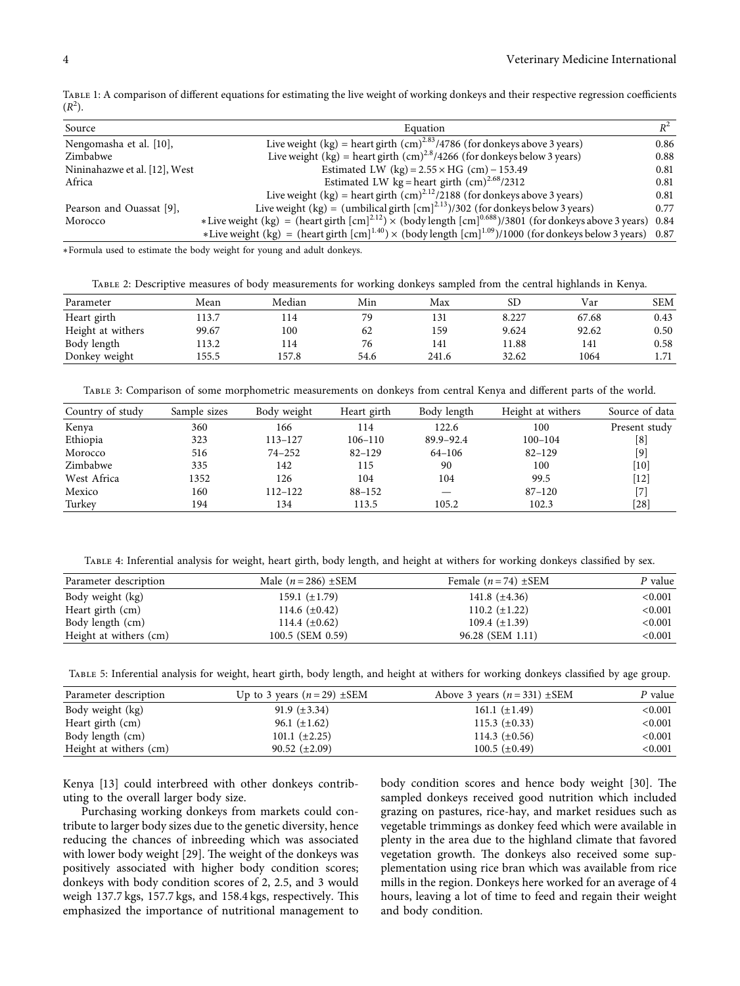| Source                        | Equation                                                                                                                            |      |  |
|-------------------------------|-------------------------------------------------------------------------------------------------------------------------------------|------|--|
| Nengomasha et al. [10],       | Live weight (kg) = heart girth $\text{(cm)}^{2.83}/4786$ (for donkeys above 3 years)                                                | 0.86 |  |
| Zimbabwe                      | Live weight (kg) = heart girth $\text{(cm)}^{2.8}/4266$ (for donkeys below 3 years)                                                 | 0.88 |  |
| Nininahazwe et al. [12], West | Estimated LW (kg) = $2.55 \times HG$ (cm) – 153.49                                                                                  | 0.81 |  |
| Africa                        | Estimated LW kg = heart girth $\text{(cm)}^{2.68}/2312$                                                                             | 0.81 |  |
|                               | Live weight (kg) = heart girth $(cm)^{2.12}/2188$ (for donkeys above 3 years)                                                       | 0.81 |  |
| Pearson and Ouassat [9],      | Live weight (kg) = (umbilical girth $[cm]^{2.13}$ )/302 (for donkeys below 3 years)                                                 | 0.77 |  |
| Morocco                       | *Live weight (kg) = (heart girth $[cm]^{2.12}$ ) × (body length $[cm]^{0.688}$ )/3801 (for donkeys above 3 years) 0.84              |      |  |
|                               | *Live weight (kg) = (heart girth $[\text{cm}]^{1.40}$ ) × (body length $[\text{cm}]^{1.09}$ )/1000 (for donkeys below 3 years) 0.87 |      |  |

<span id="page-3-0"></span>Table 1: A comparison of different equations for estimating the live weight of working donkeys and their respective regression coefficients  $(R^2)$ .

∗Formula used to estimate the body weight for young and adult donkeys.

Table 2: Descriptive measures of body measurements for working donkeys sampled from the central highlands in Kenya.

| Parameter         | Mean  | Median | Min  | Max   | SГ    | Var   | <b>SEM</b> |
|-------------------|-------|--------|------|-------|-------|-------|------------|
| Heart girth       | 13.7  | 114    | 70   | 131   | 8.227 | 67.68 | 0.43       |
| Height at withers | 99.67 | 100    | 62   | 159   | 9.624 | 92.62 | 0.50       |
| Body length       | 13.2  | 114    | 76   | 141   | 11.88 | 141   | 0.58       |
| Donkey weight     | 155.5 | 157.8  | 54.6 | 241.6 | 32.62 | 1064  | 1.71       |

Table 3: Comparison of some morphometric measurements on donkeys from central Kenya and different parts of the world.

| Country of study | Sample sizes | Body weight | Heart girth | Body length | Height at withers | Source of data    |
|------------------|--------------|-------------|-------------|-------------|-------------------|-------------------|
| Kenya            | 360          | 166         | 114         | 122.6       | 100               | Present study     |
| Ethiopia         | 323          | $113 - 127$ | 106-110     | 89.9-92.4   | $100 - 104$       | [8]               |
| Morocco          | 516          | $74 - 252$  | $82 - 129$  | $64 - 106$  | $82 - 129$        | $\lceil 9 \rceil$ |
| Zimbabwe         | 335          | 142         | 115         | 90          | 100               | [10]              |
| West Africa      | 1352         | 126         | 104         | 104         | 99.5              | $[12]$            |
| Mexico           | 160          | $112 - 122$ | $88 - 152$  |             | $87 - 120$        | $^{[7]}$          |
| Turkey           | 194          | 134         | 113.5       | 105.2       | 102.3             | [28]              |

Table 4: Inferential analysis for weight, heart girth, body length, and height at withers for working donkeys classified by sex.

| P value |
|---------|
| < 0.001 |
| < 0.001 |
| < 0.001 |
| < 0.001 |
|         |

Table 5: Inferential analysis for weight, heart girth, body length, and height at withers for working donkeys classified by age group.

| Parameter description  | Up to 3 years $(n=29)$ ±SEM | Above 3 years $(n=331) \pm SEM$ | P value |
|------------------------|-----------------------------|---------------------------------|---------|
| Body weight (kg)       | $91.9 \ (\pm 3.34)$         | 161.1 $(\pm 1.49)$              | < 0.001 |
| Heart girth (cm)       | 96.1 $(\pm 1.62)$           | 115.3 $(\pm 0.33)$              | < 0.001 |
| Body length (cm)       | $101.1 \ (\pm 2.25)$        | 114.3 $(\pm 0.56)$              | < 0.001 |
| Height at withers (cm) | 90.52 $(\pm 2.09)$          | 100.5 $(\pm 0.49)$              | < 0.001 |

Kenya [[13](#page-4-0)] could interbreed with other donkeys contributing to the overall larger body size.

Purchasing working donkeys from markets could contribute to larger body sizes due to the genetic diversity, hence reducing the chances of inbreeding which was associated with lower body weight [\[29\]](#page-5-0). The weight of the donkeys was positively associated with higher body condition scores; donkeys with body condition scores of 2, 2.5, and 3 would weigh 137.7 kgs, 157.7 kgs, and 158.4 kgs, respectively. This emphasized the importance of nutritional management to body condition scores and hence body weight [\[30\]](#page-5-0). The sampled donkeys received good nutrition which included grazing on pastures, rice-hay, and market residues such as vegetable trimmings as donkey feed which were available in plenty in the area due to the highland climate that favored vegetation growth. The donkeys also received some supplementation using rice bran which was available from rice mills in the region. Donkeys here worked for an average of 4 hours, leaving a lot of time to feed and regain their weight and body condition.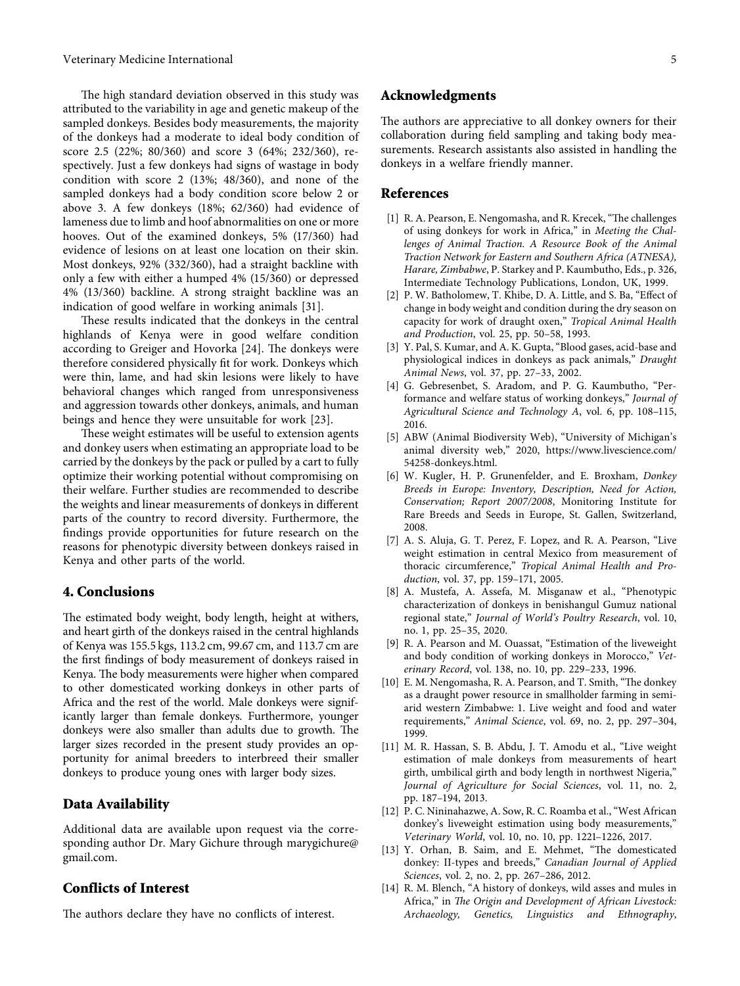<span id="page-4-0"></span>The high standard deviation observed in this study was attributed to the variability in age and genetic makeup of the sampled donkeys. Besides body measurements, the majority of the donkeys had a moderate to ideal body condition of score 2.5 (22%; 80/360) and score 3 (64%; 232/360), respectively. Just a few donkeys had signs of wastage in body condition with score 2 (13%; 48/360), and none of the sampled donkeys had a body condition score below 2 or above 3. A few donkeys (18%; 62/360) had evidence of lameness due to limb and hoof abnormalities on one or more hooves. Out of the examined donkeys, 5% (17/360) had evidence of lesions on at least one location on their skin. Most donkeys, 92% (332/360), had a straight backline with only a few with either a humped 4% (15/360) or depressed 4% (13/360) backline. A strong straight backline was an indication of good welfare in working animals [\[31](#page-5-0)].

These results indicated that the donkeys in the central highlands of Kenya were in good welfare condition according to Greiger and Hovorka [\[24\]](#page-5-0). The donkeys were therefore considered physically fit for work. Donkeys which were thin, lame, and had skin lesions were likely to have behavioral changes which ranged from unresponsiveness and aggression towards other donkeys, animals, and human beings and hence they were unsuitable for work [\[23\]](#page-5-0).

These weight estimates will be useful to extension agents and donkey users when estimating an appropriate load to be carried by the donkeys by the pack or pulled by a cart to fully optimize their working potential without compromising on their welfare. Further studies are recommended to describe the weights and linear measurements of donkeys in different parts of the country to record diversity. Furthermore, the findings provide opportunities for future research on the reasons for phenotypic diversity between donkeys raised in Kenya and other parts of the world.

# **4. Conclusions**

The estimated body weight, body length, height at withers, and heart girth of the donkeys raised in the central highlands of Kenya was 155.5 kgs, 113.2 cm, 99.67 cm, and 113.7 cm are the first findings of body measurement of donkeys raised in Kenya. The body measurements were higher when compared to other domesticated working donkeys in other parts of Africa and the rest of the world. Male donkeys were significantly larger than female donkeys. Furthermore, younger donkeys were also smaller than adults due to growth. The larger sizes recorded in the present study provides an opportunity for animal breeders to interbreed their smaller donkeys to produce young ones with larger body sizes.

#### **Data Availability**

Additional data are available upon request via the corresponding author Dr. Mary Gichure through [marygichure@](mailto:marygichure@gmail.com) [gmail.com](mailto:marygichure@gmail.com).

#### **Conflicts of Interest**

The authors declare they have no conflicts of interest.

### **Acknowledgments**

The authors are appreciative to all donkey owners for their collaboration during field sampling and taking body measurements. Research assistants also assisted in handling the donkeys in a welfare friendly manner.

# **References**

- [1] R. A. Pearson, E. Nengomasha, and R. Krecek, "The challenges of using donkeys for work in Africa," in *Meeting the Challenges of Animal Traction. A Resource Book of the Animal Traction Network for Eastern and Southern Africa (ATNESA), Harare, Zimbabwe*, P. Starkey and P. Kaumbutho, Eds., p. 326, Intermediate Technology Publications, London, UK, 1999.
- [2] P. W. Batholomew, T. Khibe, D. A. Little, and S. Ba, "Effect of change in body weight and condition during the dry season on capacity for work of draught oxen," *Tropical Animal Health and Production*, vol. 25, pp. 50–58, 1993.
- [3] Y. Pal, S. Kumar, and A. K. Gupta, "Blood gases, acid-base and physiological indices in donkeys as pack animals," *Draught Animal News*, vol. 37, pp. 27–33, 2002.
- [4] G. Gebresenbet, S. Aradom, and P. G. Kaumbutho, "Performance and welfare status of working donkeys," *Journal of Agricultural Science and Technology A*, vol. 6, pp. 108–115, 2016.
- [5] ABW (Animal Biodiversity Web), "University of Michigan's animal diversity web," 2020, [https://www.livescience.com/](https://www.livescience.com/54258-donkeys.html) [54258-donkeys.html.](https://www.livescience.com/54258-donkeys.html)
- [6] W. Kugler, H. P. Grunenfelder, and E. Broxham, *Donkey Breeds in Europe: Inventory, Description, Need for Action, Conservation; Report 2007/2008*, Monitoring Institute for Rare Breeds and Seeds in Europe, St. Gallen, Switzerland, 2008.
- [7] A. S. Aluja, G. T. Perez, F. Lopez, and R. A. Pearson, "Live weight estimation in central Mexico from measurement of thoracic circumference," *Tropical Animal Health and Production*, vol. 37, pp. 159–171, 2005.
- [8] A. Mustefa, A. Assefa, M. Misganaw et al., "Phenotypic characterization of donkeys in benishangul Gumuz national regional state," *Journal of World's Poultry Research*, vol. 10, no. 1, pp. 25–35, 2020.
- [9] R. A. Pearson and M. Ouassat, "Estimation of the liveweight and body condition of working donkeys in Morocco," *Veterinary Record*, vol. 138, no. 10, pp. 229–233, 1996.
- [10] E. M. Nengomasha, R. A. Pearson, and T. Smith, "The donkey as a draught power resource in smallholder farming in semiarid western Zimbabwe: 1. Live weight and food and water requirements," *Animal Science*, vol. 69, no. 2, pp. 297–304, 1999.
- [11] M. R. Hassan, S. B. Abdu, J. T. Amodu et al., "Live weight estimation of male donkeys from measurements of heart girth, umbilical girth and body length in northwest Nigeria," *Journal of Agriculture for Social Sciences*, vol. 11, no. 2, pp. 187–194, 2013.
- [12] P. C. Nininahazwe, A. Sow, R. C. Roamba et al., "West African donkey's liveweight estimation using body measurements," *Veterinary World*, vol. 10, no. 10, pp. 1221–1226, 2017.
- [13] Y. Orhan, B. Saim, and E. Mehmet, "The domesticated donkey: II-types and breeds," *Canadian Journal of Applied Sciences*, vol. 2, no. 2, pp. 267–286, 2012.
- [14] R. M. Blench, "A history of donkeys, wild asses and mules in Africa," in *The Origin and Development of African Livestock: Archaeology, Genetics, Linguistics and Ethnography*,